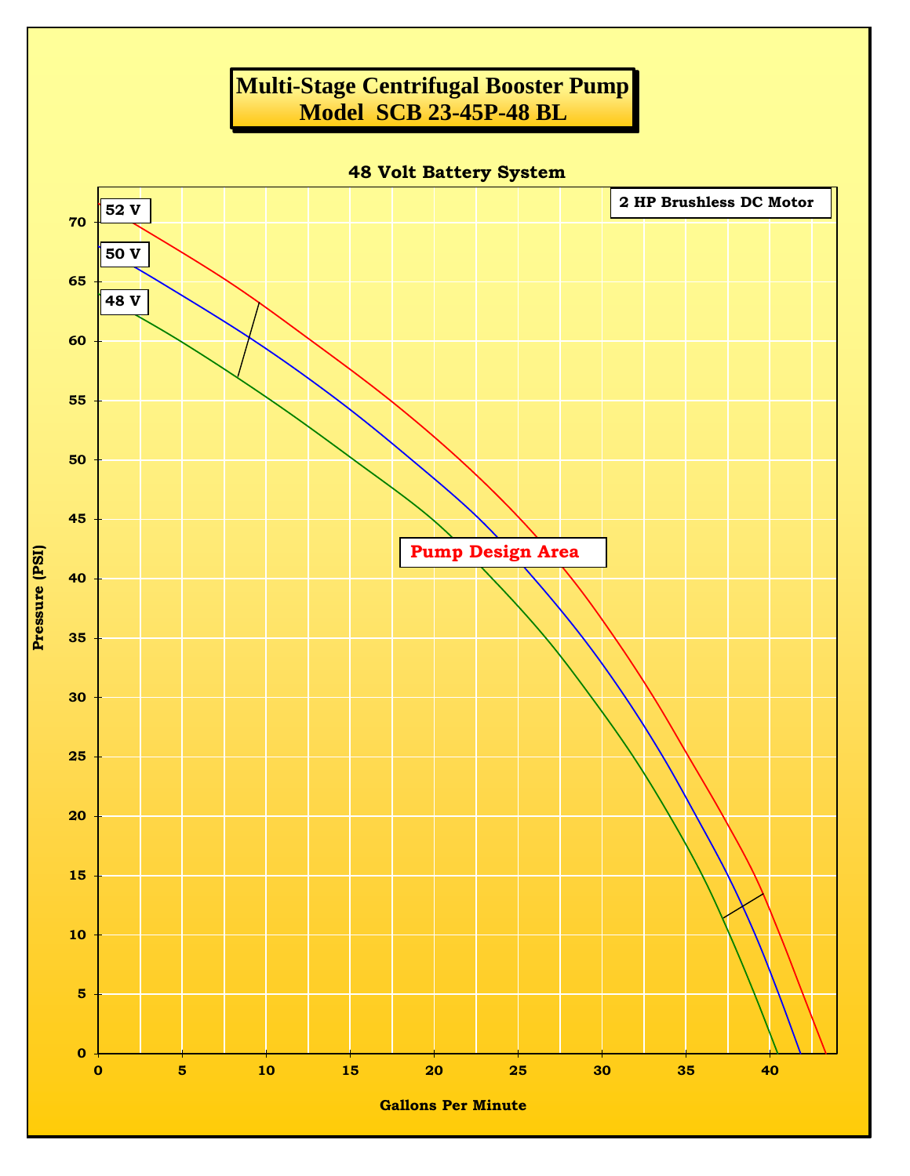